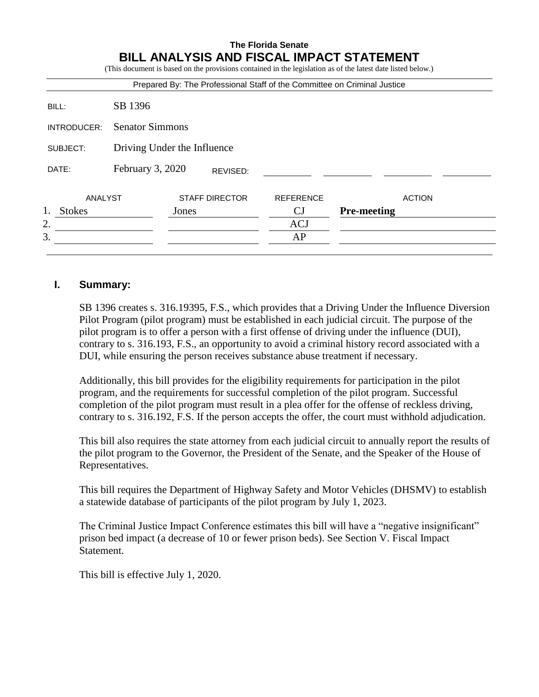# **The Florida Senate BILL ANALYSIS AND FISCAL IMPACT STATEMENT**

|               |                             |       |                       |                  | (This document is based on the provisions contained in the legislation as of the latest date listed below.) |  |  |
|---------------|-----------------------------|-------|-----------------------|------------------|-------------------------------------------------------------------------------------------------------------|--|--|
|               |                             |       |                       |                  | Prepared By: The Professional Staff of the Committee on Criminal Justice                                    |  |  |
| BILL:         | SB 1396                     |       |                       |                  |                                                                                                             |  |  |
| INTRODUCER:   | <b>Senator Simmons</b>      |       |                       |                  |                                                                                                             |  |  |
| SUBJECT:      | Driving Under the Influence |       |                       |                  |                                                                                                             |  |  |
| DATE:         | February 3, 2020            |       | REVISED:              |                  |                                                                                                             |  |  |
| ANALYST       |                             |       | <b>STAFF DIRECTOR</b> | <b>REFERENCE</b> | <b>ACTION</b>                                                                                               |  |  |
| <b>Stokes</b> |                             | Jones |                       | CJ               | <b>Pre-meeting</b>                                                                                          |  |  |
| 2.            |                             |       |                       | <b>ACJ</b>       |                                                                                                             |  |  |
| 3.            |                             |       |                       | AP               |                                                                                                             |  |  |

### **I. Summary:**

SB 1396 creates s. 316.19395, F.S., which provides that a Driving Under the Influence Diversion Pilot Program (pilot program) must be established in each judicial circuit. The purpose of the pilot program is to offer a person with a first offense of driving under the influence (DUI), contrary to s. 316.193, F.S., an opportunity to avoid a criminal history record associated with a DUI, while ensuring the person receives substance abuse treatment if necessary.

Additionally, this bill provides for the eligibility requirements for participation in the pilot program, and the requirements for successful completion of the pilot program. Successful completion of the pilot program must result in a plea offer for the offense of reckless driving, contrary to s. 316.192, F.S. If the person accepts the offer, the court must withhold adjudication.

This bill also requires the state attorney from each judicial circuit to annually report the results of the pilot program to the Governor, the President of the Senate, and the Speaker of the House of Representatives.

This bill requires the Department of Highway Safety and Motor Vehicles (DHSMV) to establish a statewide database of participants of the pilot program by July 1, 2023.

The Criminal Justice Impact Conference estimates this bill will have a "negative insignificant" prison bed impact (a decrease of 10 or fewer prison beds). See Section V. Fiscal Impact Statement.

This bill is effective July 1, 2020.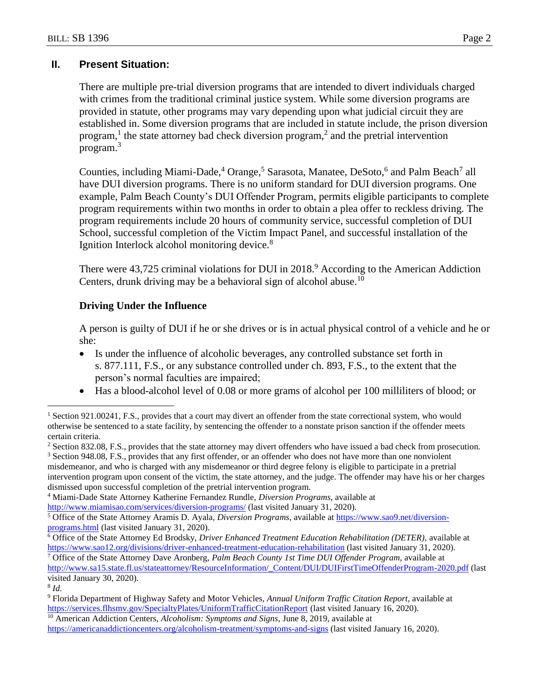## **II. Present Situation:**

There are multiple pre-trial diversion programs that are intended to divert individuals charged with crimes from the traditional criminal justice system. While some diversion programs are provided in statute, other programs may vary depending upon what judicial circuit they are established in. Some diversion programs that are included in statute include, the prison diversion program,<sup>1</sup> the state attorney bad check diversion program,<sup>2</sup> and the pretrial intervention program.<sup>3</sup>

Counties, including Miami-Dade,<sup>4</sup> Orange,<sup>5</sup> Sarasota, Manatee, DeSoto,<sup>6</sup> and Palm Beach<sup>7</sup> all have DUI diversion programs. There is no uniform standard for DUI diversion programs. One example, Palm Beach County's DUI Offender Program, permits eligible participants to complete program requirements within two months in order to obtain a plea offer to reckless driving. The program requirements include 20 hours of community service, successful completion of DUI School, successful completion of the Victim Impact Panel, and successful installation of the Ignition Interlock alcohol monitoring device.<sup>8</sup>

There were 43,725 criminal violations for DUI in 2018.<sup>9</sup> According to the American Addiction Centers, drunk driving may be a behavioral sign of alcohol abuse.<sup>10</sup>

### **Driving Under the Influence**

A person is guilty of DUI if he or she drives or is in actual physical control of a vehicle and he or she:

- Is under the influence of alcoholic beverages, any controlled substance set forth in s. 877.111, F.S., or any substance controlled under ch. 893, F.S., to the extent that the person's normal faculties are impaired;
- Has a blood-alcohol level of 0.08 or more grams of alcohol per 100 milliliters of blood; or

<sup>3</sup> Section 948.08, F.S., provides that any first offender, or an offender who does not have more than one nonviolent misdemeanor, and who is charged with any misdemeanor or third degree felony is eligible to participate in a pretrial intervention program upon consent of the victim, the state attorney, and the judge. The offender may have his or her charges dismissed upon successful completion of the pretrial intervention program.

<sup>6</sup> Office of the State Attorney Ed Brodsky, *Driver Enhanced Treatment Education Rehabilitation (DETER),* available at <https://www.sao12.org/divisions/driver-enhanced-treatment-education-rehabilitation> (last visited January 31, 2020).

<sup>7</sup> Office of the State Attorney Dave Aronberg, *Palm Beach County 1st Time DUI Offender Program*, available at [http://www.sa15.state.fl.us/stateattorney/ResourceInformation/\\_Content/DUI/DUIFirstTimeOffenderProgram-2020.pdf](http://www.sa15.state.fl.us/stateattorney/ResourceInformation/_Content/DUI/DUIFirstTimeOffenderProgram-2020.pdf) (last visited January 30, 2020).

8 *Id.*

 $\overline{a}$ 

Section 921.00241, F.S., provides that a court may divert an offender from the state correctional system, who would otherwise be sentenced to a state facility, by sentencing the offender to a nonstate prison sanction if the offender meets certain criteria.

<sup>&</sup>lt;sup>2</sup> Section 832.08, F.S., provides that the state attorney may divert offenders who have issued a bad check from prosecution.

<sup>4</sup> Miami-Dade State Attorney Katherine Fernandez Rundle, *Diversion Programs*, available at <http://www.miamisao.com/services/diversion-programs/> (last visited January 31, 2020).

<sup>5</sup> Office of the State Attorney Aramis D. Ayala, *Diversion Programs*, available at [https://www.sao9.net/diversion](https://www.sao9.net/diversion-programs.html)[programs.html](https://www.sao9.net/diversion-programs.html) (last visited January 31, 2020).

<sup>9</sup> Florida Department of Highway Safety and Motor Vehicles, *Annual Uniform Traffic Citation Report*, available at <https://services.flhsmv.gov/SpecialtyPlates/UniformTrafficCitationReport> (last visited January 16, 2020).

<sup>&</sup>lt;sup>10</sup> American Addiction Centers, *Alcoholism: Symptoms and Signs*, June 8, 2019, available at <https://americanaddictioncenters.org/alcoholism-treatment/symptoms-and-signs> (last visited January 16, 2020).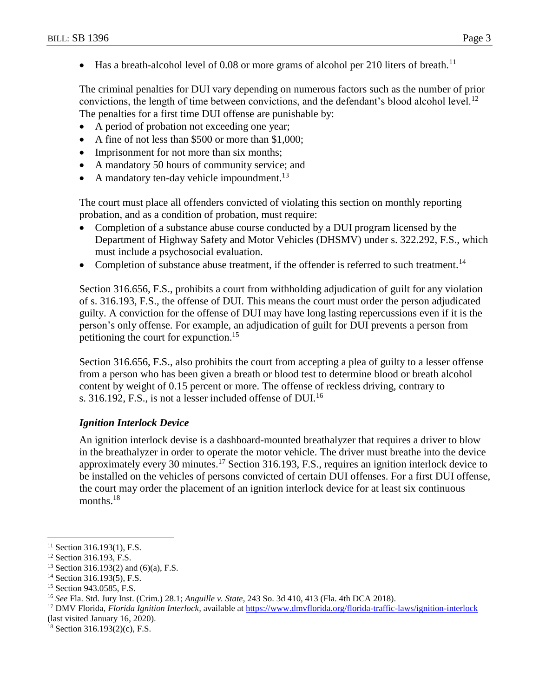$\bullet$  Has a breath-alcohol level of 0.08 or more grams of alcohol per 210 liters of breath.<sup>11</sup>

The criminal penalties for DUI vary depending on numerous factors such as the number of prior convictions, the length of time between convictions, and the defendant's blood alcohol level.<sup>12</sup> The penalties for a first time DUI offense are punishable by:

- A period of probation not exceeding one year;
- A fine of not less than \$500 or more than \$1,000;
- Imprisonment for not more than six months;
- A mandatory 50 hours of community service; and
- A mandatory ten-day vehicle impoundment.<sup>13</sup>

The court must place all offenders convicted of violating this section on monthly reporting probation, and as a condition of probation, must require:

- Completion of a substance abuse course conducted by a DUI program licensed by the Department of Highway Safety and Motor Vehicles (DHSMV) under s. 322.292, F.S., which must include a psychosocial evaluation.
- Completion of substance abuse treatment, if the offender is referred to such treatment.<sup>14</sup>

Section 316.656, F.S., prohibits a court from withholding adjudication of guilt for any violation of s. 316.193, F.S., the offense of DUI. This means the court must order the person adjudicated guilty. A conviction for the offense of DUI may have long lasting repercussions even if it is the person's only offense. For example, an adjudication of guilt for DUI prevents a person from petitioning the court for expunction.<sup>15</sup>

Section 316.656, F.S., also prohibits the court from accepting a plea of guilty to a lesser offense from a person who has been given a breath or blood test to determine blood or breath alcohol content by weight of 0.15 percent or more. The offense of reckless driving, contrary to s. 316.192, F.S., is not a lesser included offense of DUI.<sup>16</sup>

#### *Ignition Interlock Device*

An ignition interlock devise is a dashboard-mounted breathalyzer that requires a driver to blow in the breathalyzer in order to operate the motor vehicle. The driver must breathe into the device approximately every 30 minutes.<sup>17</sup> Section 316.193, F.S., requires an ignition interlock device to be installed on the vehicles of persons convicted of certain DUI offenses. For a first DUI offense, the court may order the placement of an ignition interlock device for at least six continuous months.<sup>18</sup>

 $\overline{a}$ 

<sup>18</sup> Section 316.193(2)(c), F.S.

<sup>&</sup>lt;sup>11</sup> Section 316.193(1), F.S.

<sup>&</sup>lt;sup>12</sup> Section 316.193, F.S.

<sup>&</sup>lt;sup>13</sup> Section 316.193(2) and (6)(a), F.S.

<sup>&</sup>lt;sup>14</sup> Section 316.193(5), F.S.

<sup>&</sup>lt;sup>15</sup> Section 943.0585, F.S.

<sup>16</sup> *See* Fla. Std. Jury Inst. (Crim.) 28.1; *Anguille v. State,* 243 So. 3d 410, 413 (Fla. 4th DCA 2018).

<sup>17</sup> DMV Florida, *Florida Ignition Interlock,* available at<https://www.dmvflorida.org/florida-traffic-laws/ignition-interlock> (last visited January 16, 2020).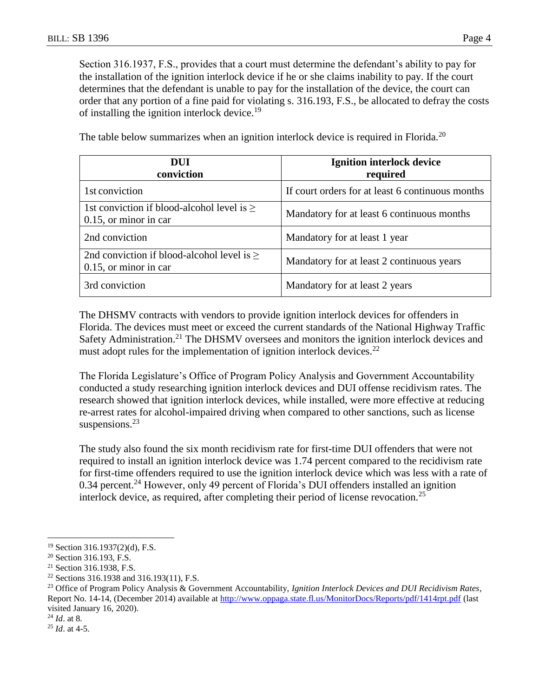Section 316.1937, F.S., provides that a court must determine the defendant's ability to pay for the installation of the ignition interlock device if he or she claims inability to pay. If the court determines that the defendant is unable to pay for the installation of the device, the court can order that any portion of a fine paid for violating s. 316.193, F.S., be allocated to defray the costs of installing the ignition interlock device.<sup>19</sup>

| DUI<br>conviction                                                           | <b>Ignition interlock device</b><br>required     |  |
|-----------------------------------------------------------------------------|--------------------------------------------------|--|
| 1st conviction                                                              | If court orders for at least 6 continuous months |  |
| 1st conviction if blood-alcohol level is $\geq$<br>$0.15$ , or minor in car | Mandatory for at least 6 continuous months       |  |
| 2nd conviction                                                              | Mandatory for at least 1 year                    |  |
| 2nd conviction if blood-alcohol level is $\geq$<br>$0.15$ , or minor in car | Mandatory for at least 2 continuous years        |  |
| 3rd conviction                                                              | Mandatory for at least 2 years                   |  |

The table below summarizes when an ignition interlock device is required in Florida.<sup>20</sup>

The DHSMV contracts with vendors to provide ignition interlock devices for offenders in Florida. The devices must meet or exceed the current standards of the National Highway Traffic Safety Administration.<sup>21</sup> The DHSMV oversees and monitors the ignition interlock devices and must adopt rules for the implementation of ignition interlock devices.<sup>22</sup>

The Florida Legislature's Office of Program Policy Analysis and Government Accountability conducted a study researching ignition interlock devices and DUI offense recidivism rates. The research showed that ignition interlock devices, while installed, were more effective at reducing re-arrest rates for alcohol-impaired driving when compared to other sanctions, such as license suspensions. $^{23}$ 

The study also found the six month recidivism rate for first-time DUI offenders that were not required to install an ignition interlock device was 1.74 percent compared to the recidivism rate for first-time offenders required to use the ignition interlock device which was less with a rate of 0.34 percent.<sup>24</sup> However, only 49 percent of Florida's DUI offenders installed an ignition interlock device, as required, after completing their period of license revocation.<sup>25</sup>

 $\overline{a}$ 

<sup>19</sup> Section 316.1937(2)(d), F.S.

<sup>20</sup> Section 316.193, F.S.

<sup>21</sup> Section 316.1938, F.S.

<sup>&</sup>lt;sup>22</sup> Sections 316.1938 and 316.193(11), F.S.

<sup>23</sup> Office of Program Policy Analysis & Government Accountability, *Ignition Interlock Devices and DUI Recidivism Rates*, Report No. 14-14, (December 2014) available at<http://www.oppaga.state.fl.us/MonitorDocs/Reports/pdf/1414rpt.pdf> (last visited January 16, 2020).

<sup>24</sup> *Id*. at 8.

<sup>25</sup> *Id*. at 4-5.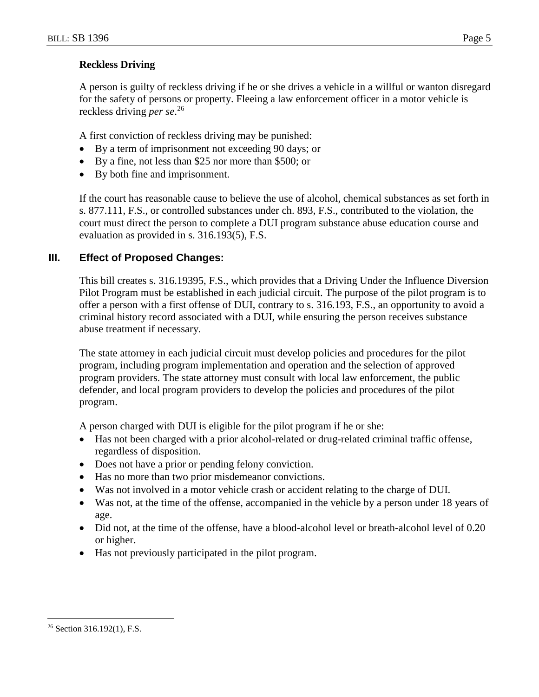## **Reckless Driving**

A person is guilty of reckless driving if he or she drives a vehicle in a willful or wanton disregard for the safety of persons or property. Fleeing a law enforcement officer in a motor vehicle is reckless driving *per se*. 26

A first conviction of reckless driving may be punished:

- By a term of imprisonment not exceeding 90 days; or
- By a fine, not less than \$25 nor more than \$500; or
- By both fine and imprisonment.

If the court has reasonable cause to believe the use of alcohol, chemical substances as set forth in s. 877.111, F.S., or controlled substances under ch. 893, F.S., contributed to the violation, the court must direct the person to complete a DUI program substance abuse education course and evaluation as provided in s. 316.193(5), F.S.

# **III. Effect of Proposed Changes:**

This bill creates s. 316.19395, F.S., which provides that a Driving Under the Influence Diversion Pilot Program must be established in each judicial circuit. The purpose of the pilot program is to offer a person with a first offense of DUI, contrary to s. 316.193, F.S., an opportunity to avoid a criminal history record associated with a DUI, while ensuring the person receives substance abuse treatment if necessary.

The state attorney in each judicial circuit must develop policies and procedures for the pilot program, including program implementation and operation and the selection of approved program providers. The state attorney must consult with local law enforcement, the public defender, and local program providers to develop the policies and procedures of the pilot program.

A person charged with DUI is eligible for the pilot program if he or she:

- Has not been charged with a prior alcohol-related or drug-related criminal traffic offense, regardless of disposition.
- Does not have a prior or pending felony conviction.
- Has no more than two prior misdemeanor convictions.
- Was not involved in a motor vehicle crash or accident relating to the charge of DUI.
- Was not, at the time of the offense, accompanied in the vehicle by a person under 18 years of age.
- Did not, at the time of the offense, have a blood-alcohol level or breath-alcohol level of 0.20 or higher.
- Has not previously participated in the pilot program.

 $\overline{a}$ 

<sup>26</sup> Section 316.192(1), F.S.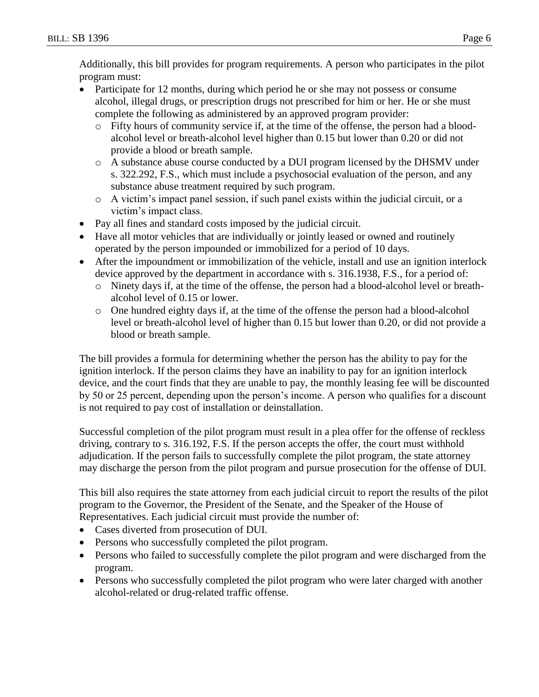Additionally, this bill provides for program requirements. A person who participates in the pilot program must:

- Participate for 12 months, during which period he or she may not possess or consume alcohol, illegal drugs, or prescription drugs not prescribed for him or her. He or she must complete the following as administered by an approved program provider:
	- o Fifty hours of community service if, at the time of the offense, the person had a bloodalcohol level or breath-alcohol level higher than 0.15 but lower than 0.20 or did not provide a blood or breath sample.
	- o A substance abuse course conducted by a DUI program licensed by the DHSMV under s. 322.292, F.S., which must include a psychosocial evaluation of the person, and any substance abuse treatment required by such program.
	- $\circ$  A victim's impact panel session, if such panel exists within the judicial circuit, or a victim's impact class.
- Pay all fines and standard costs imposed by the judicial circuit.
- Have all motor vehicles that are individually or jointly leased or owned and routinely operated by the person impounded or immobilized for a period of 10 days.
- After the impoundment or immobilization of the vehicle, install and use an ignition interlock device approved by the department in accordance with s. 316.1938, F.S., for a period of:
	- o Ninety days if, at the time of the offense, the person had a blood-alcohol level or breathalcohol level of 0.15 or lower.
	- o One hundred eighty days if, at the time of the offense the person had a blood-alcohol level or breath-alcohol level of higher than 0.15 but lower than 0.20, or did not provide a blood or breath sample.

The bill provides a formula for determining whether the person has the ability to pay for the ignition interlock. If the person claims they have an inability to pay for an ignition interlock device, and the court finds that they are unable to pay, the monthly leasing fee will be discounted by 50 or 25 percent, depending upon the person's income. A person who qualifies for a discount is not required to pay cost of installation or deinstallation.

Successful completion of the pilot program must result in a plea offer for the offense of reckless driving, contrary to s. 316.192, F.S. If the person accepts the offer, the court must withhold adjudication. If the person fails to successfully complete the pilot program, the state attorney may discharge the person from the pilot program and pursue prosecution for the offense of DUI.

This bill also requires the state attorney from each judicial circuit to report the results of the pilot program to the Governor, the President of the Senate, and the Speaker of the House of Representatives. Each judicial circuit must provide the number of:

- Cases diverted from prosecution of DUI.
- Persons who successfully completed the pilot program.
- Persons who failed to successfully complete the pilot program and were discharged from the program.
- Persons who successfully completed the pilot program who were later charged with another alcohol-related or drug-related traffic offense.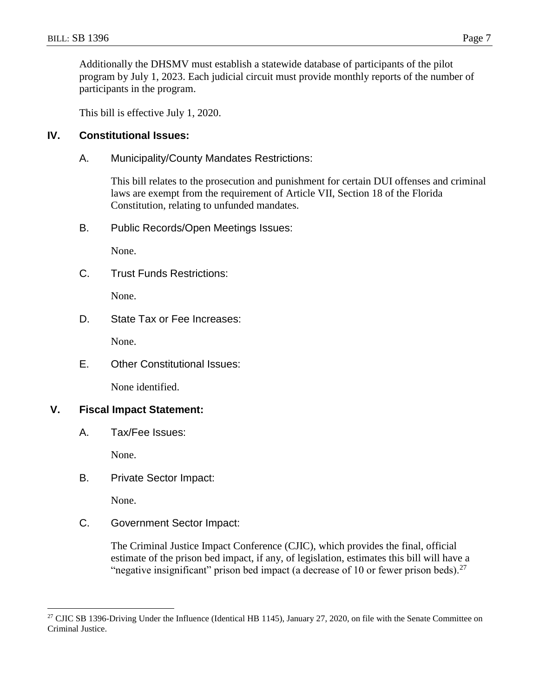Additionally the DHSMV must establish a statewide database of participants of the pilot program by July 1, 2023. Each judicial circuit must provide monthly reports of the number of participants in the program.

This bill is effective July 1, 2020.

## **IV. Constitutional Issues:**

A. Municipality/County Mandates Restrictions:

This bill relates to the prosecution and punishment for certain DUI offenses and criminal laws are exempt from the requirement of Article VII, Section 18 of the Florida Constitution, relating to unfunded mandates.

B. Public Records/Open Meetings Issues:

None.

C. Trust Funds Restrictions:

None.

D. State Tax or Fee Increases:

None.

E. Other Constitutional Issues:

None identified.

# **V. Fiscal Impact Statement:**

A. Tax/Fee Issues:

None.

B. Private Sector Impact:

None.

 $\overline{a}$ 

C. Government Sector Impact:

The Criminal Justice Impact Conference (CJIC), which provides the final, official estimate of the prison bed impact, if any, of legislation, estimates this bill will have a "negative insignificant" prison bed impact (a decrease of 10 or fewer prison beds).<sup>27</sup>

<sup>&</sup>lt;sup>27</sup> CJIC SB 1396-Driving Under the Influence (Identical HB 1145), January 27, 2020, on file with the Senate Committee on Criminal Justice.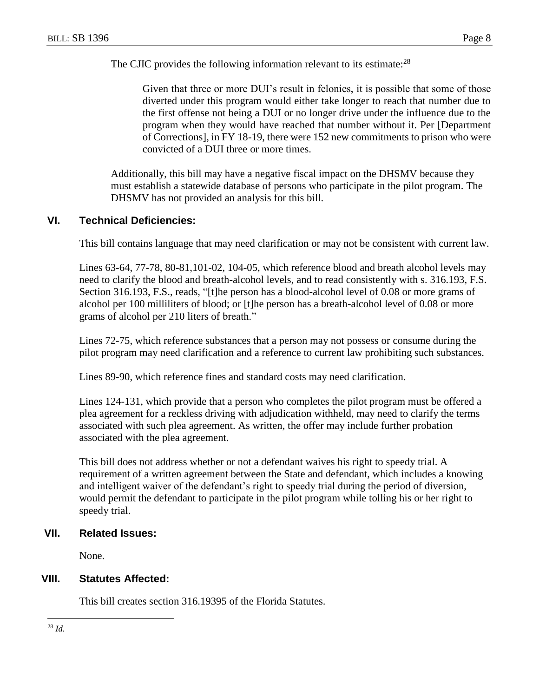The CJIC provides the following information relevant to its estimate: $^{28}$ 

Given that three or more DUI's result in felonies, it is possible that some of those diverted under this program would either take longer to reach that number due to the first offense not being a DUI or no longer drive under the influence due to the program when they would have reached that number without it. Per [Department of Corrections], in FY 18-19, there were 152 new commitments to prison who were convicted of a DUI three or more times.

Additionally, this bill may have a negative fiscal impact on the DHSMV because they must establish a statewide database of persons who participate in the pilot program. The DHSMV has not provided an analysis for this bill.

### **VI. Technical Deficiencies:**

This bill contains language that may need clarification or may not be consistent with current law.

Lines 63-64, 77-78, 80-81,101-02, 104-05, which reference blood and breath alcohol levels may need to clarify the blood and breath-alcohol levels, and to read consistently with s. 316.193, F.S. Section 316.193, F.S., reads, "[t]he person has a blood-alcohol level of 0.08 or more grams of alcohol per 100 milliliters of blood; or [t]he person has a breath-alcohol level of 0.08 or more grams of alcohol per 210 liters of breath."

Lines 72-75, which reference substances that a person may not possess or consume during the pilot program may need clarification and a reference to current law prohibiting such substances.

Lines 89-90, which reference fines and standard costs may need clarification.

Lines 124-131, which provide that a person who completes the pilot program must be offered a plea agreement for a reckless driving with adjudication withheld, may need to clarify the terms associated with such plea agreement. As written, the offer may include further probation associated with the plea agreement.

This bill does not address whether or not a defendant waives his right to speedy trial. A requirement of a written agreement between the State and defendant, which includes a knowing and intelligent waiver of the defendant's right to speedy trial during the period of diversion, would permit the defendant to participate in the pilot program while tolling his or her right to speedy trial.

#### **VII. Related Issues:**

None.

# **VIII. Statutes Affected:**

This bill creates section 316.19395 of the Florida Statutes.